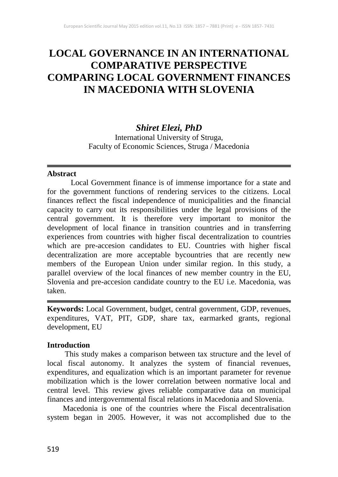# **LOCAL GOVERNANCE IN AN INTERNATIONAL COMPARATIVE PERSPECTIVE COMPARING LOCAL GOVERNMENT FINANCES IN MACEDONIA WITH SLOVENIA**

## *Shiret Elezi, PhD*

International University of Struga, Faculty of Economic Sciences, Struga / Macedonia

#### **Abstract**

Local Government finance is of immense importance for a state and for the government functions of rendering services to the citizens. Local finances reflect the fiscal independence of municipalities and the financial capacity to carry out its responsibilities under the legal provisions of the central government. It is therefore very important to monitor the development of local finance in transition countries and in transferring experiences from countries with higher fiscal decentralization to countries which are pre-accesion candidates to EU. Countries with higher fiscal decentralization are more acceptable bycountries that are recently new members of the European Union under similar region. In this study, a parallel overview of the local finances of new member country in the EU, Slovenia and pre-accesion candidate country to the EU i.e. Macedonia, was taken.

**Keywords:** Local Government, budget, central government, GDP, revenues, expenditures, VAT, PIT, GDP, share tax, earmarked grants, regional development, EU

### **Introduction**

This study makes a comparison between tax structure and the level of local fiscal autonomy. It analyzes the system of financial revenues, expenditures, and equalization which is an important parameter for revenue mobilization which is the lower correlation between normative local and central level. This review gives reliable comparative data on municipal finances and intergovernmental fiscal relations in Macedonia and Slovenia.

 Macedonia is one of the countries where the Fiscal decentralisation system began in 2005. However, it was not accomplished due to the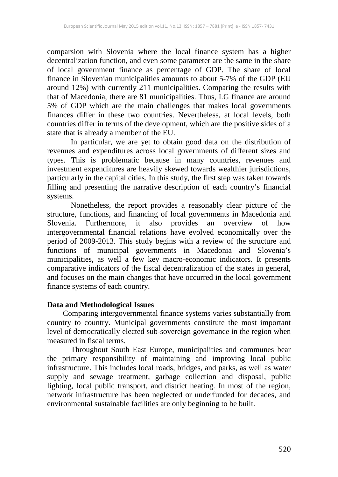comparsion with Slovenia where the local finance system has a higher decentralization function, and even some parameter are the same in the share of local government finance as percentage of GDP. The share of local finance in Slovenian municipalities amounts to about 5-7% of the GDP (EU around 12%) with currently 211 municipalities. Comparing the results with that of Macedonia, there are 81 municipalities. Thus, LG finance are around 5% of GDP which are the main challenges that makes local governments finances differ in these two countries. Nevertheless, at local levels, both countries differ in terms of the development, which are the positive sides of a state that is already a member of the EU.

In particular, we are yet to obtain good data on the distribution of revenues and expenditures across local governments of different sizes and types. This is problematic because in many countries, revenues and investment expenditures are heavily skewed towards wealthier jurisdictions, particularly in the capital cities. In this study, the first step was taken towards filling and presenting the narrative description of each country's financial systems.

Nonetheless, the report provides a reasonably clear picture of the structure, functions, and financing of local governments in Macedonia and Slovenia. Furthermore, it also provides an overview of how intergovernmental financial relations have evolved economically over the period of 2009-2013. This study begins with a review of the structure and functions of municipal governments in Macedonia and Slovenia's municipalities, as well a few key macro-economic indicators. It presents comparative indicators of the fiscal decentralization of the states in general, and focuses on the main changes that have occurred in the local government finance systems of each country.

### **Data and Methodological Issues**

 Comparing intergovernmental finance systems varies substantially from country to country. Municipal governments constitute the most important level of democratically elected sub-sovereign governance in the region when measured in fiscal terms.

Throughout South East Europe, municipalities and communes bear the primary responsibility of maintaining and improving local public infrastructure. This includes local roads, bridges, and parks, as well as water supply and sewage treatment, garbage collection and disposal, public lighting, local public transport, and district heating. In most of the region, network infrastructure has been neglected or underfunded for decades, and environmental sustainable facilities are only beginning to be built.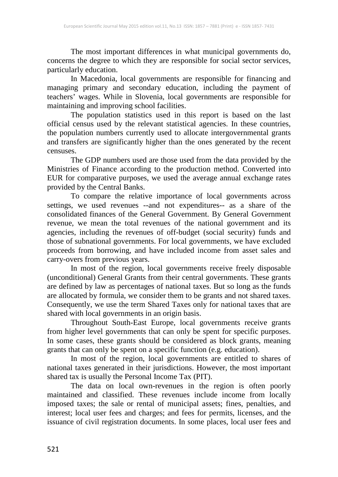The most important differences in what municipal governments do, concerns the degree to which they are responsible for social sector services, particularly education.

In Macedonia, local governments are responsible for financing and managing primary and secondary education, including the payment of teachers' wages. While in Slovenia, local governments are responsible for maintaining and improving school facilities.

The population statistics used in this report is based on the last official census used by the relevant statistical agencies. In these countries, the population numbers currently used to allocate intergovernmental grants and transfers are significantly higher than the ones generated by the recent censuses.

The GDP numbers used are those used from the data provided by the Ministries of Finance according to the production method. Converted into EUR for comparative purposes, we used the average annual exchange rates provided by the Central Banks.

To compare the relative importance of local governments across settings, we used revenues --and not expenditures-- as a share of the consolidated finances of the General Government. By General Government revenue, we mean the total revenues of the national government and its agencies, including the revenues of off-budget (social security) funds and those of subnational governments. For local governments, we have excluded proceeds from borrowing, and have included income from asset sales and carry-overs from previous years.

In most of the region, local governments receive freely disposable (unconditional) General Grants from their central governments. These grants are defined by law as percentages of national taxes. But so long as the funds are allocated by formula, we consider them to be grants and not shared taxes. Consequently, we use the term Shared Taxes only for national taxes that are shared with local governments in an origin basis.

Throughout South-East Europe, local governments receive grants from higher level governments that can only be spent for specific purposes. In some cases, these grants should be considered as block grants, meaning grants that can only be spent on a specific function (e.g. education).

In most of the region, local governments are entitled to shares of national taxes generated in their jurisdictions. However, the most important shared tax is usually the Personal Income Tax (PIT).

The data on local own-revenues in the region is often poorly maintained and classified. These revenues include income from locally imposed taxes; the sale or rental of municipal assets; fines, penalties, and interest; local user fees and charges; and fees for permits, licenses, and the issuance of civil registration documents. In some places, local user fees and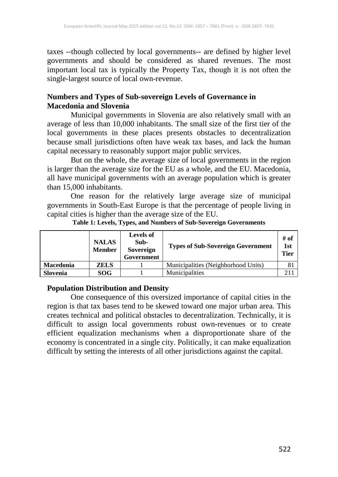taxes --though collected by local governments-- are defined by higher level governments and should be considered as shared revenues. The most important local tax is typically the Property Tax, though it is not often the single-largest source of local own-revenue.

### **Numbers and Types of Sub-sovereign Levels of Governance in Macedonia and Slovenia**

Municipal governments in Slovenia are also relatively small with an average of less than 10,000 inhabitants. The small size of the first tier of the local governments in these places presents obstacles to decentralization because small jurisdictions often have weak tax bases, and lack the human capital necessary to reasonably support major public services.

But on the whole, the average size of local governments in the region is larger than the average size for the EU as a whole, and the EU. Macedonia, all have municipal governments with an average population which is greater than 15,000 inhabitants.

One reason for the relatively large average size of municipal governments in South-East Europe is that the percentage of people living in capital cities is higher than the average size of the EU.

|                  | <b>NALAS</b><br><b>Member</b> | <b>Levels of</b><br>Sub-<br>Sovereign<br>Government | <b>Types of Sub-Sovereign Government</b> | # of<br>1st<br><b>Tier</b> |
|------------------|-------------------------------|-----------------------------------------------------|------------------------------------------|----------------------------|
| <b>Macedonia</b> | <b>ZELS</b>                   |                                                     | Municipalities (Neighborhood Units)      |                            |
| Slovenia         | <b>SOG</b>                    |                                                     | Municipalities                           |                            |

#### **Table 1: Levels, Types, and Numbers of Sub-Sovereign Governments**

#### **Population Distribution and Density**

One consequence of this oversized importance of capital cities in the region is that tax bases tend to be skewed toward one major urban area. This creates technical and political obstacles to decentralization. Technically, it is difficult to assign local governments robust own-revenues or to create efficient equalization mechanisms when a disproportionate share of the economy is concentrated in a single city. Politically, it can make equalization difficult by setting the interests of all other jurisdictions against the capital.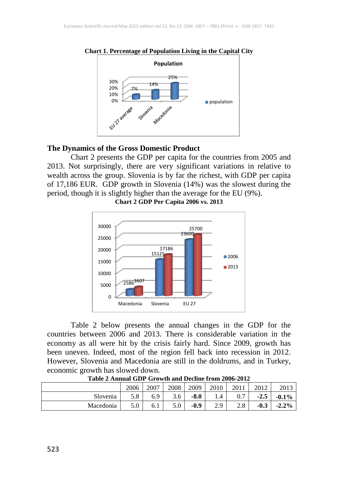

**Chart 1. Percentage of Population Living in the Capital City**

#### **The Dynamics of the Gross Domestic Product**

Chart 2 presents the GDP per capita for the countries from 2005 and 2013. Not surprisingly, there are very significant variations in relative to wealth across the group. Slovenia is by far the richest, with GDP per capita of 17,186 EUR. GDP growth in Slovenia (14%) was the slowest during the period, though it is slightly higher than the average for the EU (9%).



**Chart 2 GDP Per Capita 2006 vs. 2013**

Table 2 below presents the annual changes in the GDP for the countries between 2006 and 2013. There is considerable variation in the economy as all were hit by the crisis fairly hard. Since 2009, growth has been uneven. Indeed, most of the region fell back into recession in 2012. However, Slovenia and Macedonia are still in the doldrums, and in Turkey, economic growth has slowed down.

|           | 2006 | 2007 | 2008 | 2009   | 2010         | 2011 |        | 2013    |
|-----------|------|------|------|--------|--------------|------|--------|---------|
| Slovenia  | 5.8  | 6.9  | 3.6  | $-8.0$ | 1.4          | ∩ ¬  | $-2.5$ | $-0.1%$ |
| Macedonia | 5.0  | 6.1  | 5.0  | $-0.9$ | າ ດ<br>ر . ب | 2.8  | $-0.3$ | $-2.2%$ |

**Table 2 Annual GDP Growth and Decline from 2006-2012**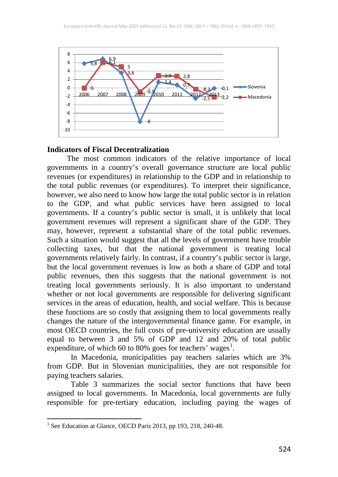

#### **Indicators of Fiscal Decentralization**

 The most common indicators of the relative importance of local governments in a country's overall governance structure are local public revenues (or expenditures) in relationship to the GDP and in relationship to the total public revenues (or expenditures). To interpret their significance, however, we also need to know how large the total public sector is in relation to the GDP, and what public services have been assigned to local governments. If a country's public sector is small, it is unlikely that local government revenues will represent a significant share of the GDP. They may, however, represent a substantial share of the total public revenues. Such a situation would suggest that all the levels of government have trouble collecting taxes, but that the national government is treating local governments relatively fairly. In contrast, if a country's public sector is large, but the local government revenues is low as both a share of GDP and total public revenues, then this suggests that the national government is not treating local governments seriously. It is also important to understand whether or not local governments are responsible for delivering significant services in the areas of education, health, and social welfare. This is because these functions are so costly that assigning them to local governments really changes the nature of the intergovernmental finance game. For example, in most OECD countries, the full costs of pre-university education are usually equal to between 3 and 5% of GDP and 12 and 20% of total public expenditure, of which 60 to 80% goes for teachers' wages<sup>[1](#page--1-0)</sup>.

In Macedonia, municipalities pay teachers salaries which are 3% from GDP. But in Slovenian municipalities, they are not responsible for paying teachers salaries.

Table 3 summarizes the social sector functions that have been assigned to local governments. In Macedonia, local governments are fully responsible for pre-tertiary education, including paying the wages of

<sup>&</sup>lt;sup>1</sup> See Education at Glance, OECD Paris 2013, pp 193, 218, 240-48.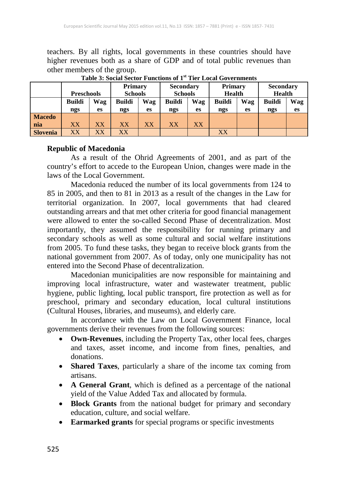teachers. By all rights, local governments in these countries should have higher revenues both as a share of GDP and of total public revenues than other members of the group.

|                 |                   |           | <b>Primary</b>         |     | <b>Secondary</b> |     | <b>Primary</b> |     | <b>Secondary</b> |     |
|-----------------|-------------------|-----------|------------------------|-----|------------------|-----|----------------|-----|------------------|-----|
|                 | <b>Preschools</b> |           | <b>Schools</b>         |     | <b>Schools</b>   |     | <b>Health</b>  |     | <b>Health</b>    |     |
|                 | <b>Buildi</b>     | Wag       | <b>Buildi</b>          | Wag | <b>Buildi</b>    | Wag | <b>Buildi</b>  | Wag | <b>Buildi</b>    | Wag |
|                 | ngs               | es        | ngs                    | es  | ngs              | es  | ngs            | es  | ngs              | es  |
| <b>Macedo</b>   |                   |           |                        |     |                  |     |                |     |                  |     |
| nia             | XX                | <b>XX</b> | <b>XX</b>              | XX  | XX               | XX  |                |     |                  |     |
| <b>Slovenia</b> | XX                | $\rm XX$  | $\overline{\text{XX}}$ |     |                  |     | XX             |     |                  |     |

**Table 3: Social Sector Functions of 1st Tier Local Governments**

### **Republic of Macedonia**

As a result of the Ohrid Agreements of 2001, and as part of the country's effort to accede to the European Union, changes were made in the laws of the Local Government.

Macedonia reduced the number of its local governments from 124 to 85 in 2005, and then to 81 in 2013 as a result of the changes in the Law for territorial organization. In 2007, local governments that had cleared outstanding arrears and that met other criteria for good financial management were allowed to enter the so-called Second Phase of decentralization. Most importantly, they assumed the responsibility for running primary and secondary schools as well as some cultural and social welfare institutions from 2005. To fund these tasks, they began to receive block grants from the national government from 2007. As of today, only one municipality has not entered into the Second Phase of decentralization.

Macedonian municipalities are now responsible for maintaining and improving local infrastructure, water and wastewater treatment, public hygiene, public lighting, local public transport, fire protection as well as for preschool, primary and secondary education, local cultural institutions (Cultural Houses, libraries, and museums), and elderly care.

In accordance with the Law on Local Government Finance, local governments derive their revenues from the following sources:

- **Own-Revenues**, including the Property Tax, other local fees, charges and taxes, asset income, and income from fines, penalties, and donations.
- **Shared Taxes**, particularly a share of the income tax coming from artisans.
- **A General Grant**, which is defined as a percentage of the national yield of the Value Added Tax and allocated by formula.
- **Block Grants** from the national budget for primary and secondary education, culture, and social welfare.
- **Earmarked grants** for special programs or specific investments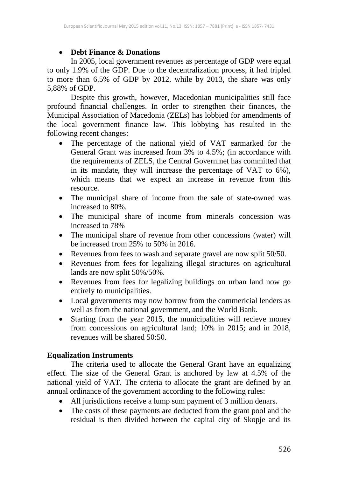### • **Debt Finance & Donations**

In 2005, local government revenues as percentage of GDP were equal to only 1.9% of the GDP. Due to the decentralization process, it had tripled to more than 6.5% of GDP by 2012, while by 2013, the share was only 5,88% of GDP.

Despite this growth, however, Macedonian municipalities still face profound financial challenges. In order to strengthen their finances, the Municipal Association of Macedonia (ZELs) has lobbied for amendments of the local government finance law. This lobbying has resulted in the following recent changes:

- The percentage of the national yield of VAT earmarked for the General Grant was increased from 3% to 4.5%; (in accordance with the requirements of ZELS, the Central Governmet has committed that in its mandate, they will increase the percentage of VAT to 6%), which means that we expect an increase in revenue from this resource.
- The municipal share of income from the sale of state-owned was increased to 80%.
- The municipal share of income from minerals concession was increased to 78%
- The municipal share of revenue from other concessions (water) will be increased from 25% to 50% in 2016.
- Revenues from fees to wash and separate gravel are now split 50/50.
- Revenues from fees for legalizing illegal structures on agricultural lands are now split 50%/50%.
- Revenues from fees for legalizing buildings on urban land now go entirely to municipalities.
- Local governments may now borrow from the commericial lenders as well as from the national government, and the World Bank.
- Starting from the year 2015, the municipalities will recieve money from concessions on agricultural land; 10% in 2015; and in 2018, revenues will be shared 50:50.

### **Equalization Instruments**

The criteria used to allocate the General Grant have an equalizing effect. The size of the General Grant is anchored by law at 4.5% of the national yield of VAT. The criteria to allocate the grant are defined by an annual ordinance of the government according to the following rules:

- All jurisdictions receive a lump sum payment of 3 million denars.
- The costs of these payments are deducted from the grant pool and the residual is then divided between the capital city of Skopje and its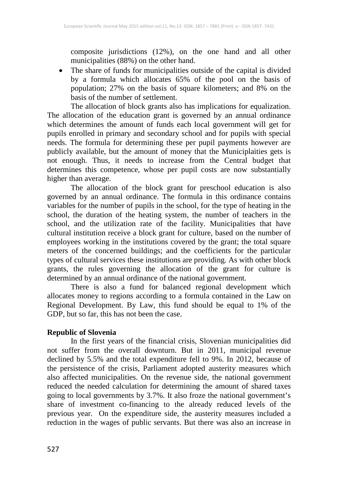composite jurisdictions (12%), on the one hand and all other municipalities (88%) on the other hand.

• The share of funds for municipalities outside of the capital is divided by a formula which allocates 65% of the pool on the basis of population; 27% on the basis of square kilometers; and 8% on the basis of the number of settlement.

The allocation of block grants also has implications for equalization. The allocation of the education grant is governed by an annual ordinance which determines the amount of funds each local government will get for pupils enrolled in primary and secondary school and for pupils with special needs. The formula for determining these per pupil payments however are publicly available, but the amount of money that the Municiplaities gets is not enough. Thus, it needs to increase from the Central budget that determines this competence, whose per pupil costs are now substantially higher than average.

The allocation of the block grant for preschool education is also governed by an annual ordinance. The formula in this ordinance contains variables for the number of pupils in the school, for the type of heating in the school, the duration of the heating system, the number of teachers in the school, and the utilization rate of the facility. Municipalities that have cultural institution receive a block grant for culture, based on the number of employees working in the institutions covered by the grant; the total square meters of the concerned buildings; and the coefficients for the particular types of cultural services these institutions are providing. As with other block grants, the rules governing the allocation of the grant for culture is determined by an annual ordinance of the national government.

There is also a fund for balanced regional development which allocates money to regions according to a formula contained in the Law on Regional Development. By Law, this fund should be equal to 1% of the GDP, but so far, this has not been the case.

### **Republic of Slovenia**

In the first years of the financial crisis, Slovenian municipalities did not suffer from the overall downturn. But in 2011, municipal revenue declined by 5.5% and the total expenditure fell to 9%. In 2012, because of the persistence of the crisis, Parliament adopted austerity measures which also affected municipalities. On the revenue side, the national government reduced the needed calculation for determining the amount of shared taxes going to local governments by 3.7%. It also froze the national government's share of investment co-financing to the already reduced levels of the previous year. On the expenditure side, the austerity measures included a reduction in the wages of public servants. But there was also an increase in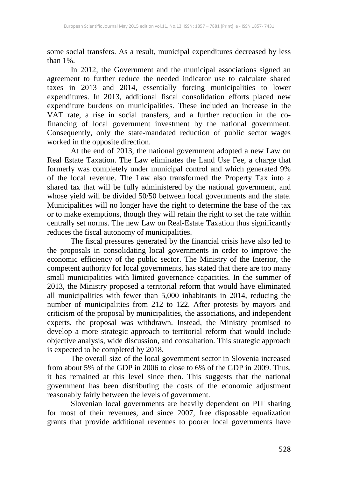some social transfers. As a result, municipal expenditures decreased by less than 1%.

In 2012, the Government and the municipal associations signed an agreement to further reduce the needed indicator use to calculate shared taxes in 2013 and 2014, essentially forcing municipalities to lower expenditures. In 2013, additional fiscal consolidation efforts placed new expenditure burdens on municipalities. These included an increase in the VAT rate, a rise in social transfers, and a further reduction in the cofinancing of local government investment by the national government. Consequently, only the state-mandated reduction of public sector wages worked in the opposite direction.

At the end of 2013, the national government adopted a new Law on Real Estate Taxation. The Law eliminates the Land Use Fee, a charge that formerly was completely under municipal control and which generated 9% of the local revenue. The Law also transformed the Property Tax into a shared tax that will be fully administered by the national government, and whose yield will be divided 50/50 between local governments and the state. Municipalities will no longer have the right to determine the base of the tax or to make exemptions, though they will retain the right to set the rate within centrally set norms. The new Law on Real-Estate Taxation thus significantly reduces the fiscal autonomy of municipalities.

The fiscal pressures generated by the financial crisis have also led to the proposals in consolidating local governments in order to improve the economic efficiency of the public sector. The Ministry of the Interior, the competent authority for local governments, has stated that there are too many small municipalities with limited governance capacities. In the summer of 2013, the Ministry proposed a territorial reform that would have eliminated all municipalities with fewer than 5,000 inhabitants in 2014, reducing the number of municipalities from 212 to 122. After protests by mayors and criticism of the proposal by municipalities, the associations, and independent experts, the proposal was withdrawn. Instead, the Ministry promised to develop a more strategic approach to territorial reform that would include objective analysis, wide discussion, and consultation. This strategic approach is expected to be completed by 2018.

The overall size of the local government sector in Slovenia increased from about 5% of the GDP in 2006 to close to 6% of the GDP in 2009. Thus, it has remained at this level since then. This suggests that the national government has been distributing the costs of the economic adjustment reasonably fairly between the levels of government.

Slovenian local governments are heavily dependent on PIT sharing for most of their revenues, and since 2007, free disposable equalization grants that provide additional revenues to poorer local governments have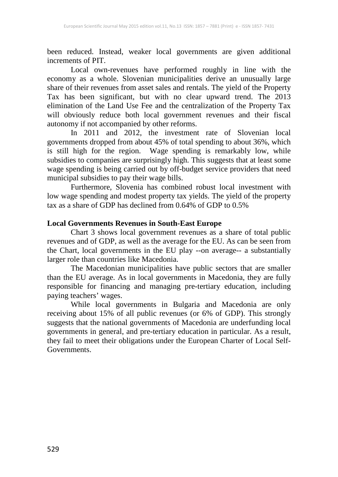been reduced. Instead, weaker local governments are given additional increments of PIT.

Local own-revenues have performed roughly in line with the economy as a whole. Slovenian municipalities derive an unusually large share of their revenues from asset sales and rentals. The yield of the Property Tax has been significant, but with no clear upward trend. The 2013 elimination of the Land Use Fee and the centralization of the Property Tax will obviously reduce both local government revenues and their fiscal autonomy if not accompanied by other reforms.

In 2011 and 2012, the investment rate of Slovenian local governments dropped from about 45% of total spending to about 36%, which is still high for the region. Wage spending is remarkably low, while subsidies to companies are surprisingly high. This suggests that at least some wage spending is being carried out by off-budget service providers that need municipal subsidies to pay their wage bills.

Furthermore, Slovenia has combined robust local investment with low wage spending and modest property tax yields. The yield of the property tax as a share of GDP has declined from 0.64% of GDP to 0.5%

### **Local Governments Revenues in South-East Europe**

Chart 3 shows local government revenues as a share of total public revenues and of GDP, as well as the average for the EU. As can be seen from the Chart, local governments in the EU play --on average-- a substantially larger role than countries like Macedonia.

The Macedonian municipalities have public sectors that are smaller than the EU average. As in local governments in Macedonia, they are fully responsible for financing and managing pre-tertiary education, including paying teachers' wages.

While local governments in Bulgaria and Macedonia are only receiving about 15% of all public revenues (or 6% of GDP). This strongly suggests that the national governments of Macedonia are underfunding local governments in general, and pre-tertiary education in particular. As a result, they fail to meet their obligations under the European Charter of Local Self-Governments.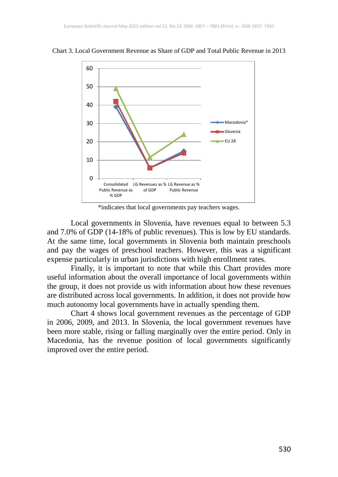

Chart 3. Local Government Revenue as Share of GDP and Total Public Revenue in 2013

\*indicates that local governments pay teachers wages.

Local governments in Slovenia, have revenues equal to between 5.3 and 7.0% of GDP (14-18% of public revenues). This is low by EU standards. At the same time, local governments in Slovenia both maintain preschools and pay the wages of preschool teachers. However, this was a significant expense particularly in urban jurisdictions with high enrollment rates.

Finally, it is important to note that while this Chart provides more useful information about the overall importance of local governments within the group, it does not provide us with information about how these revenues are distributed across local governments. In addition, it does not provide how much autonomy local governments have in actually spending them.

Chart 4 shows local government revenues as the percentage of GDP in 2006, 2009, and 2013. In Slovenia, the local government revenues have been more stable, rising or falling marginally over the entire period. Only in Macedonia, has the revenue position of local governments significantly improved over the entire period.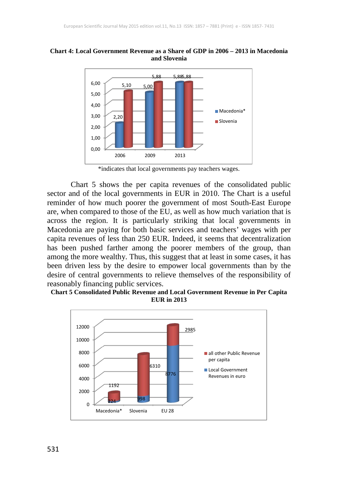

**Chart 4: Local Government Revenue as a Share of GDP in 2006 – 2013 in Macedonia and Slovenia**

Chart 5 shows the per capita revenues of the consolidated public sector and of the local governments in EUR in 2010. The Chart is a useful reminder of how much poorer the government of most South-East Europe are, when compared to those of the EU, as well as how much variation that is across the region. It is particularly striking that local governments in Macedonia are paying for both basic services and teachers' wages with per capita revenues of less than 250 EUR. Indeed, it seems that decentralization has been pushed farther among the poorer members of the group, than among the more wealthy. Thus, this suggest that at least in some cases, it has been driven less by the desire to empower local governments than by the desire of central governments to relieve themselves of the responsibility of reasonably financing public services.





<sup>\*</sup>indicates that local governments pay teachers wages.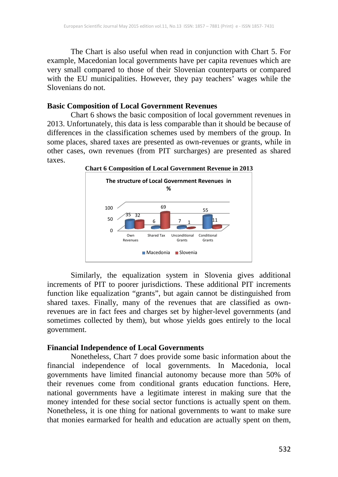The Chart is also useful when read in conjunction with Chart 5. For example, Macedonian local governments have per capita revenues which are very small compared to those of their Slovenian counterparts or compared with the EU municipalities. However, they pay teachers' wages while the Slovenians do not.

#### **Basic Composition of Local Government Revenues**

Chart 6 shows the basic composition of local government revenues in 2013. Unfortunately, this data is less comparable than it should be because of differences in the classification schemes used by members of the group. In some places, shared taxes are presented as own-revenues or grants, while in other cases, own revenues (from PIT surcharges) are presented as shared taxes.



**Chart 6 Composition of Local Government Revenue in 2013**

Similarly, the equalization system in Slovenia gives additional increments of PIT to poorer jurisdictions. These additional PIT increments function like equalization "grants", but again cannot be distinguished from shared taxes. Finally, many of the revenues that are classified as ownrevenues are in fact fees and charges set by higher-level governments (and sometimes collected by them), but whose yields goes entirely to the local government.

#### **Financial Independence of Local Governments**

Nonetheless, Chart 7 does provide some basic information about the financial independence of local governments. In Macedonia, local governments have limited financial autonomy because more than 50% of their revenues come from conditional grants education functions. Here, national governments have a legitimate interest in making sure that the money intended for these social sector functions is actually spent on them. Nonetheless, it is one thing for national governments to want to make sure that monies earmarked for health and education are actually spent on them,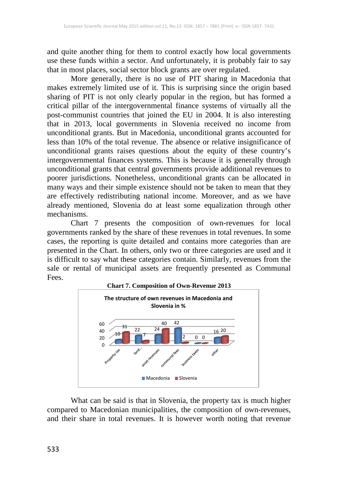and quite another thing for them to control exactly how local governments use these funds within a sector. And unfortunately, it is probably fair to say that in most places, social sector block grants are over regulated.

More generally, there is no use of PIT sharing in Macedonia that makes extremely limited use of it. This is surprising since the origin based sharing of PIT is not only clearly popular in the region, but has formed a critical pillar of the intergovernmental finance systems of virtually all the post-communist countries that joined the EU in 2004. It is also interesting that in 2013, local governments in Slovenia received no income from unconditional grants. But in Macedonia, unconditional grants accounted for less than 10% of the total revenue. The absence or relative insignificance of unconditional grants raises questions about the equity of these country's intergovernmental finances systems. This is because it is generally through unconditional grants that central governments provide additional revenues to poorer jurisdictions. Nonetheless, unconditional grants can be allocated in many ways and their simple existence should not be taken to mean that they are effectively redistributing national income. Moreover, and as we have already mentioned, Slovenia do at least some equalization through other mechanisms.

Chart 7 presents the composition of own-revenues for local governments ranked by the share of these revenues in total revenues. In some cases, the reporting is quite detailed and contains more categories than are presented in the Chart. In others, only two or three categories are used and it is difficult to say what these categories contain. Similarly, revenues from the sale or rental of municipal assets are frequently presented as Communal Fees.



What can be said is that in Slovenia, the property tax is much higher compared to Macedonian municipalities, the composition of own-revenues, and their share in total revenues. It is however worth noting that revenue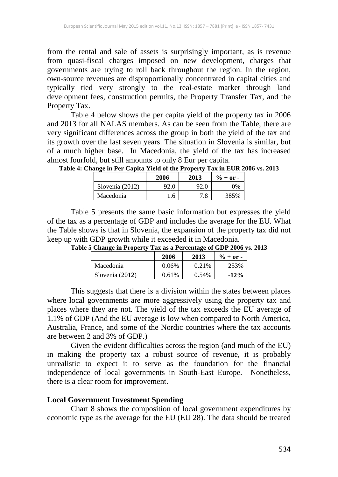from the rental and sale of assets is surprisingly important, as is revenue from quasi-fiscal charges imposed on new development, charges that governments are trying to roll back throughout the region. In the region, own-source revenues are disproportionally concentrated in capital cities and typically tied very strongly to the real-estate market through land development fees, construction permits, the Property Transfer Tax, and the Property Tax.

Table 4 below shows the per capita yield of the property tax in 2006 and 2013 for all NALAS members. As can be seen from the Table, there are very significant differences across the group in both the yield of the tax and its growth over the last seven years. The situation in Slovenia is similar, but of a much higher base. In Macedonia, the yield of the tax has increased almost fourfold, but still amounts to only 8 Eur per capita.

|                 | 2006 | 2013 | $\% + or -$ |
|-----------------|------|------|-------------|
| Slovenia (2012) | 92.0 | 92.0 | ገ‰          |
| Macedonia       | 6.،  | .8   | 385%        |

**Table 4: Change in Per Capita Yield of the Property Tax in EUR 2006 vs. 2013**

Table 5 presents the same basic information but expresses the yield of the tax as a percentage of GDP and includes the average for the EU. What the Table shows is that in Slovenia, the expansion of the property tax did not keep up with GDP growth while it exceeded it in Macedonia.

| -               | 2006  | 2013   | $\% + or -$ |
|-----------------|-------|--------|-------------|
| Macedonia       | 0.06% | 0.21\% | 253%        |
| Slovenia (2012) | 0.61% | 0.54%  | $-12%$      |

**Table 5 Change in Property Tax as a Percentage of GDP 2006 vs. 2013**

This suggests that there is a division within the states between places where local governments are more aggressively using the property tax and places where they are not. The yield of the tax exceeds the EU average of 1.1% of GDP (And the EU average is low when compared to North America, Australia, France, and some of the Nordic countries where the tax accounts are between 2 and 3% of GDP.)

Given the evident difficulties across the region (and much of the EU) in making the property tax a robust source of revenue, it is probably unrealistic to expect it to serve as the foundation for the financial independence of local governments in South-East Europe. Nonetheless, there is a clear room for improvement.

#### **Local Government Investment Spending**

Chart 8 shows the composition of local government expenditures by economic type as the average for the EU (EU 28). The data should be treated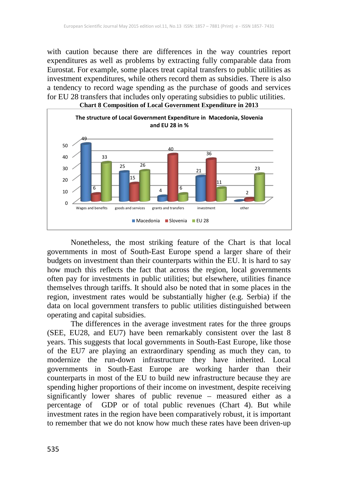with caution because there are differences in the way countries report expenditures as well as problems by extracting fully comparable data from Eurostat. For example, some places treat capital transfers to public utilities as investment expenditures, while others record them as subsidies. There is also a tendency to record wage spending as the purchase of goods and services for EU 28 transfers that includes only operating subsidies to public utilities.



Nonetheless, the most striking feature of the Chart is that local governments in most of South-East Europe spend a larger share of their budgets on investment than their counterparts within the EU. It is hard to say how much this reflects the fact that across the region, local governments often pay for investments in public utilities; but elsewhere, utilities finance themselves through tariffs. It should also be noted that in some places in the region, investment rates would be substantially higher (e.g. Serbia) if the data on local government transfers to public utilities distinguished between operating and capital subsidies.

The differences in the average investment rates for the three groups (SEE, EU28, and EU7) have been remarkably consistent over the last 8 years. This suggests that local governments in South-East Europe, like those of the EU7 are playing an extraordinary spending as much they can, to modernize the run-down infrastructure they have inherited. Local governments in South-East Europe are working harder than their counterparts in most of the EU to build new infrastructure because they are spending higher proportions of their income on investment, despite receiving significantly lower shares of public revenue – measured either as a percentage of GDP or of total public revenues (Chart 4). But while investment rates in the region have been comparatively robust, it is important to remember that we do not know how much these rates have been driven-up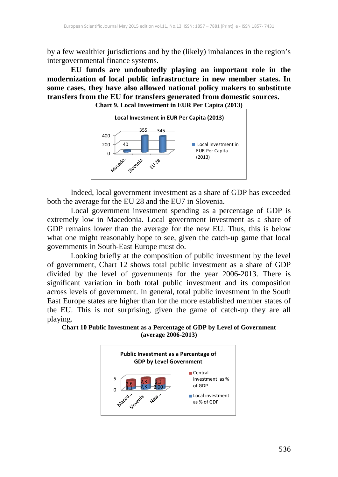by a few wealthier jurisdictions and by the (likely) imbalances in the region's intergovernmental finance systems.

**EU funds are undoubtedly playing an important role in the modernization of local public infrastructure in new member states. In some cases, they have also allowed national policy makers to substitute transfers from the EU for transfers generated from domestic sources. Chart 9. Local Investment in EUR Per Capita (2013)**



Indeed, local government investment as a share of GDP has exceeded both the average for the EU 28 and the EU7 in Slovenia.

Local government investment spending as a percentage of GDP is extremely low in Macedonia. Local government investment as a share of GDP remains lower than the average for the new EU. Thus, this is below what one might reasonably hope to see, given the catch-up game that local governments in South-East Europe must do.

Looking briefly at the composition of public investment by the level of government, Chart 12 shows total public investment as a share of GDP divided by the level of governments for the year 2006-2013. There is significant variation in both total public investment and its composition across levels of government. In general, total public investment in the South East Europe states are higher than for the more established member states of the EU. This is not surprising, given the game of catch-up they are all playing.



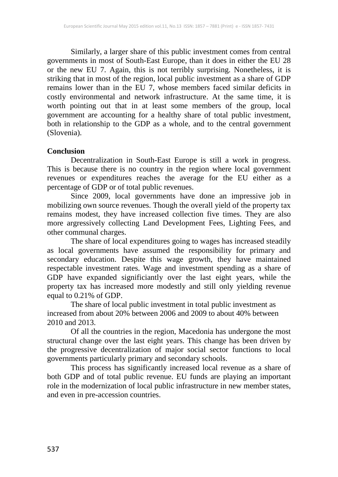Similarly, a larger share of this public investment comes from central governments in most of South-East Europe, than it does in either the EU 28 or the new EU 7. Again, this is not terribly surprising. Nonetheless, it is striking that in most of the region, local public investment as a share of GDP remains lower than in the EU 7, whose members faced similar deficits in costly environmental and network infrastructure. At the same time, it is worth pointing out that in at least some members of the group, local government are accounting for a healthy share of total public investment, both in relationship to the GDP as a whole, and to the central government (Slovenia).

#### **Conclusion**

Decentralization in South-East Europe is still a work in progress. This is because there is no country in the region where local government revenues or expenditures reaches the average for the EU either as a percentage of GDP or of total public revenues.

Since 2009, local governments have done an impressive job in mobilizing own source revenues. Though the overall yield of the property tax remains modest, they have increased collection five times. They are also more argressively collecting Land Development Fees, Lighting Fees, and other communal charges.

The share of local expenditures going to wages has increased steadily as local governments have assumed the responsibility for primary and secondary education. Despite this wage growth, they have maintained respectable investment rates. Wage and investment spending as a share of GDP have expanded significiantly over the last eight years, while the property tax has increased more modestly and still only yielding revenue equal to 0.21% of GDP.

The share of local public investment in total public investment as increased from about 20% between 2006 and 2009 to about 40% between 2010 and 2013.

Of all the countries in the region, Macedonia has undergone the most structural change over the last eight years. This change has been driven by the progressive decentralization of major social sector functions to local governments particularly primary and secondary schools.

This process has significantly increased local revenue as a share of both GDP and of total public revenue. EU funds are playing an important role in the modernization of local public infrastructure in new member states, and even in pre-accession countries.